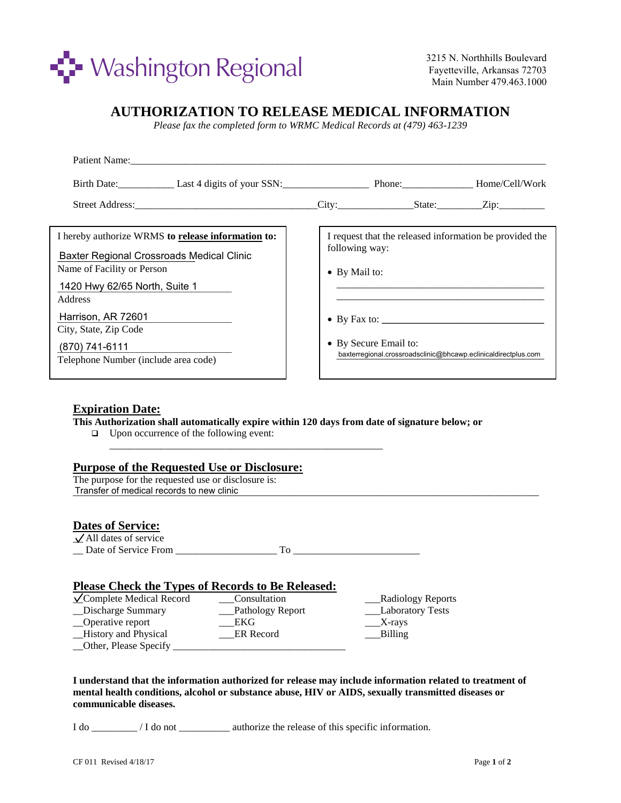

3215 N. Northhills Boulevard Fayetteville, Arkansas 72703 Main Number 479.463.1000

# **AUTHORIZATION TO RELEASE MEDICAL INFORMATION**

*Please fax the completed form to WRMC Medical Records at (479) 463-1239*

| Patient Name:                                                                                                                                                                                                            |                                         |                       |                                                                |  |
|--------------------------------------------------------------------------------------------------------------------------------------------------------------------------------------------------------------------------|-----------------------------------------|-----------------------|----------------------------------------------------------------|--|
| Birth Date: Last 4 digits of your SSN: Phone: Home/Cell/Work                                                                                                                                                             |                                         |                       |                                                                |  |
| Street Address: <u>City:</u> State: Zip: Zip:                                                                                                                                                                            |                                         |                       |                                                                |  |
| I hereby authorize WRMS to release information to:<br>Baxter Regional Crossroads Medical Clinic<br>Name of Facility or Person<br>1420 Hwy 62/65 North, Suite 1<br>Address<br>Harrison, AR 72601<br>City, State, Zip Code | following way:<br>$\bullet$ By Mail to: | • By Secure Email to: | I request that the released information be provided the        |  |
| (870) 741-6111<br>Telephone Number (include area code)                                                                                                                                                                   |                                         |                       | baxterregional.crossroadsclinic@bhcawp.eclinicaldirectplus.com |  |

## **Expiration Date:**

**This Authorization shall automatically expire within 120 days from date of signature below; or** 

□ Upon occurrence of the following event:

### **Purpose of the Requested Use or Disclosure:**

The purpose for the requested use or disclosure is: Transfer of medical records to new clinic **the ending of the ending of the ending of medical records** to new clinic

#### **Dates of Service:**  $\sqrt{\text{All}}$  dates of service

| Date of Service From |  |
|----------------------|--|

\_\_\_\_\_\_\_\_\_\_\_\_\_\_\_\_\_\_\_\_\_\_\_\_\_\_\_\_\_\_\_\_\_\_\_\_\_\_\_\_\_\_\_\_\_\_\_\_\_\_\_\_\_\_

### **Please Check the Types of Records to Be Released:**

| $\sqrt{\text{Complete Medical Record}}$ | Consultation     | __Radiology Reports |
|-----------------------------------------|------------------|---------------------|
| _Discharge Summary                      | Pathology Report | __Laboratory Tests  |
| _Operative report                       | EKG              | $X$ -rays           |
| _History and Physical                   | ER Record        | Billing             |
| _Other, Please Specify                  |                  |                     |

**I understand that the information authorized for release may include information related to treatment of mental health conditions, alcohol or substance abuse, HIV or AIDS, sexually transmitted diseases or communicable diseases.**

I do \_\_\_\_\_\_\_\_\_ / I do not \_\_\_\_\_\_\_\_\_\_ authorize the release of this specific information.